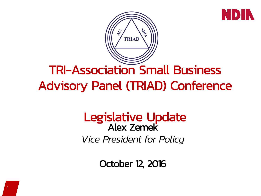



## TRI-Association Small Business Advisory Panel (TRIAD) Conference

### Legislative Update Alex Zemek *Vice President for Policy*

October 12, 2016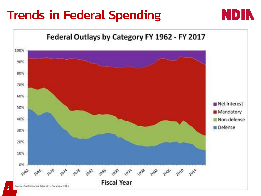## Trends in Federal Spending



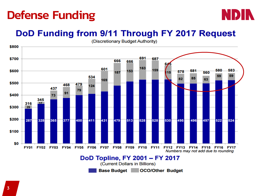### Defense Funding



#### DoD Funding from 9/11 Through FY 2017 Request



(Discretionary Budget Authority)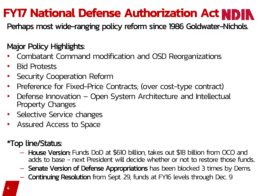### **FY17 National Defense Authorization Act NDIN**

Perhaps most wide-ranging policy reform since 1986 Goldwater-Nichols.

#### Major Policy Highlights:

- Combatant Command modification and OSD Reorganizations
- Bid Protests
- Security Cooperation Reform
- Preference for Fixed-Price Contracts; (over cost-type contract)
- Defense Innovation Open System Architecture and Intellectual Property Changes
- Selective Service changes
- Assured Access to Space

#### \*Top line/Status:

- House Version: Funds DoD at \$610 billion, takes out \$18 billion from OCO and adds to base - next President will decide whether or not to restore those funds.
- Senate Version of Defense Appropriations has been blocked 3 times by Dems.
- Continuing Resolution from Sept. 29, funds at FY16 levels through Dec. 9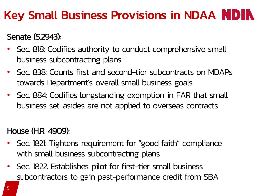### Key Small Business Provisions in NDAA NDIN

### Senate (S.2943):

- Sec. 818: Codifies authority to conduct comprehensive small business subcontracting plans
- Sec. 838: Counts first and second-tier subcontracts on MDAPs towards Department's overall small business goals
- Sec. 884: Codifies longstanding exemption in FAR that small business set-asides are not applied to overseas contracts

#### House (H.R. 4909):

- Sec. 1821: Tightens requirement for "good faith" compliance with small business subcontracting plans
- Sec. 1822: Establishes pilot for first-tier small business subcontractors to gain past-performance credit from SBA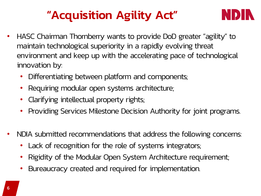## "Acquisition Agility Act"



- HASC Chairman Thornberry wants to provide DoD greater "agility" to maintain technological superiority in a rapidly evolving threat environment and keep up with the accelerating pace of technological innovation by:
	- Differentiating between platform and components;
	- Requiring modular open systems architecture;
	- Clarifying intellectual property rights;
	- Providing Services Milestone Decision Authority for joint programs.
- NDIA submitted recommendations that address the following concerns:
	- Lack of recognition for the role of systems integrators;
	- Rigidity of the Modular Open System Architecture requirement;
	- Bureaucracy created and required for implementation.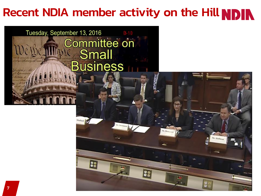## Recent NDIA member activity on the Hill NDIN

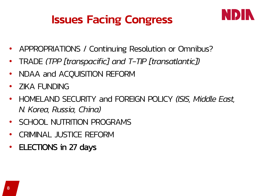### Issues Facing Congress



- APPROPRIATIONS / Continuing Resolution or Omnibus?
- TRADE *(TPP [transpacific] and T-TIP [transatlantic])*
- NDAA and ACQUISITION REFORM
- ZIKA FUNDING
- HOMELAND SECURITY and FOREIGN POLICY *(ISIS, Middle East, N. Korea, Russia, China)*
- SCHOOL NUTRITION PROGRAMS
- CRIMINAL JUSTICE REFORM
- ELECTIONS in 27 days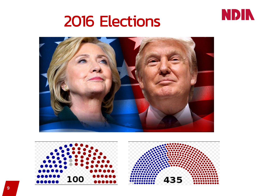

## 2016 Elections





9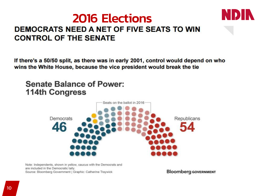### 2016 Elections **DEMOCRATS NEED A NET OF FIVE SEATS TO WIN CONTROL OF THE SENATE**



If there's a 50/50 split, as there was in early 2001, control would depend on who wins the White House, because the vice president would break the tie

#### **Senate Balance of Power: 114th Congress**



Note: Independents, shown in yellow, caucus with the Democrats and are included in the Democratic tally. Source: Bloomberg Government | Graphic: Catherine Traywick

**Bloomberg GOVERNMENT**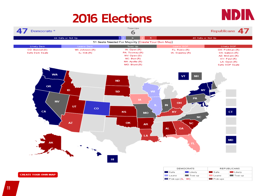### 2016 Elections



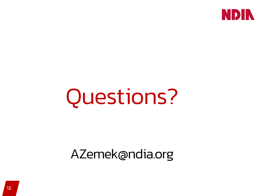

# Questions?

AZemek@ndia.org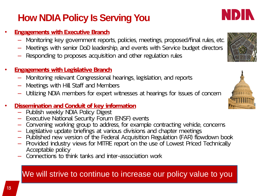### **How NDIA Policy Is Serving You**

#### **Engagements with Executive Branch**

- Monitoring key government reports, policies, meetings, proposed/final rules, etc.
- Meetings with senior DoD leadership, and events with Service budget directors
- Responding to proposes acquisition and other regulation rules

#### **Engagements with Legislative Branch**

- Monitoring relevant Congressional hearings, legislation, and reports
- Meetings with Hill Staff and Members
- Utilizing NDIA members for expert witnesses at hearings for issues of concern

#### • Dissemination and Conduit of key information

- Publish weekly NDIA Policy Digest
- Executive National Security Forum (ENSF) events
- Convening working group to address, for example contracting vehicle, concerns
- Legislative update briefings at various divisions and chapter meetings
- Published new version of the Federal Acquisition Regulation (FAR) flowdown book
- Provided industry views for MITRE report on the use of Lowest Priced Technically Acceptable policy
- Connections to think tanks and inter-association work

#### We will strive to continue to increase our policy value to you



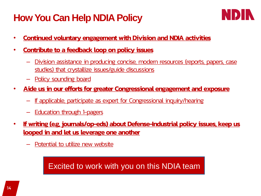### **How You Can Help NDIA Policy**



- Continued voluntary engagement with Division and NDIA activities
- Contribute to a feedback loop on policy issues
	- Division assistance in producing concise, modern resources (reports, papers, case studies) that crystallize issues/guide discussions
	- Policy sounding board
- Aide us in our efforts for greater Congressional engagement and exposure
	- If applicable, participate as expert for Congressional inquiry/hearing
	- **Education through 1-pagers**
- If writing (e.g. journals/op-eds) about Defense-Industrial policy issues, keep us looped in and let us leverage one another
	- Potential to utilize new website

Excited to work with you on this NDIA team